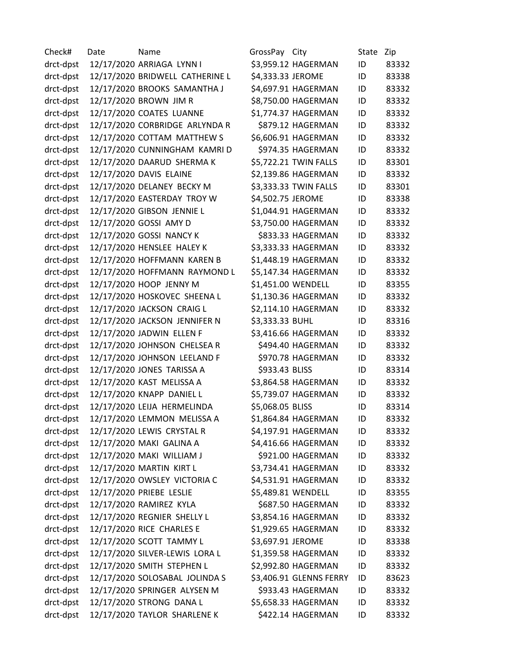Check# Date Name GrossPay City State Zip drct-dpst 12/17/2020 ARRIAGA LYNN I \$3,959.12 HAGERMAN ID 83332 drct-dpst 12/17/2020 BRIDWELL CATHERINE L \$4,333.33 JEROME ID 83338 drct-dpst 12/17/2020 BROOKS SAMANTHA J \$4,697.91 HAGERMAN ID 83332 drct-dpst 12/17/2020 BROWN JIM R \$8,750.00 HAGERMAN ID 83332 drct-dpst 12/17/2020 COATES LUANNE \$1,774.37 HAGERMAN ID 83332 drct-dpst 12/17/2020 CORBRIDGE ARLYNDA R \$879.12 HAGERMAN ID 83332 drct-dpst 12/17/2020 COTTAM MATTHEW S \$6,606.91 HAGERMAN ID 83332 drct-dpst 12/17/2020 CUNNINGHAM KAMRI D \$974.35 HAGERMAN ID 83332 drct-dpst 12/17/2020 DAARUD SHERMA K \$5,722.21 TWIN FALLS ID 83301 drct-dpst 12/17/2020 DAVIS ELAINE \$2,139.86 HAGERMAN ID 83332 drct-dpst 12/17/2020 DELANEY BECKY M \$3,333.33 TWIN FALLS ID 83301 drct-dpst 12/17/2020 EASTERDAY TROY W \$4,502.75 JEROME ID 83338 drct-dpst 12/17/2020 GIBSON JENNIE L \$1,044.91 HAGERMAN ID 83332 drct-dpst 12/17/2020 GOSSI AMY D \$3,750.00 HAGERMAN ID 83332 drct-dpst 12/17/2020 GOSSI NANCY K \$833.33 HAGERMAN ID 83332 drct-dpst 12/17/2020 HENSLEE HALEY K \$3,333.33 HAGERMAN ID 83332 drct-dpst 12/17/2020 HOFFMANN KAREN B \$1,448.19 HAGERMAN ID 83332 drct-dpst 12/17/2020 HOFFMANN RAYMOND L \$5,147.34 HAGERMAN ID 83332 drct-dpst 12/17/2020 HOOP JENNY M \$1,451.00 WENDELL ID 83355 drct-dpst 12/17/2020 HOSKOVEC SHEENA L \$1,130.36 HAGERMAN ID 83332 drct-dpst 12/17/2020 JACKSON CRAIG L \$2,114.10 HAGERMAN ID 83332 drct-dpst 12/17/2020 JACKSON JENNIFER N \$3,333.33 BUHL ID 83316 drct-dpst 12/17/2020 JADWIN ELLEN F \$3,416.66 HAGERMAN ID 83332 drct-dpst 12/17/2020 JOHNSON CHELSEA R \$494.40 HAGERMAN ID 83332 drct-dpst 12/17/2020 JOHNSON LEELAND F \$970.78 HAGERMAN ID 83332 drct-dpst 12/17/2020 JONES TARISSA A \$933.43 BLISS ID 83314 drct-dpst 12/17/2020 KAST MELISSA A \$3,864.58 HAGERMAN ID 83332 drct-dpst 12/17/2020 KNAPP DANIEL L \$5,739.07 HAGERMAN ID 83332 drct-dpst 12/17/2020 LEIJA HERMELINDA \$5,068.05 BLISS ID 83314 drct-dpst 12/17/2020 LEMMON MELISSA A \$1,864.84 HAGERMAN ID 83332 drct-dpst 12/17/2020 LEWIS CRYSTAL R \$4,197.91 HAGERMAN ID 83332 drct-dpst 12/17/2020 MAKI GALINA A \$4,416.66 HAGERMAN ID 83332 drct-dpst 12/17/2020 MAKI WILLIAM J \$921.00 HAGERMAN ID 83332 drct-dpst 12/17/2020 MARTIN KIRT L \$3,734.41 HAGERMAN ID 83332 drct-dpst 12/17/2020 OWSLEY VICTORIA C \$4,531.91 HAGERMAN ID 83332 drct-dpst 12/17/2020 PRIEBE LESLIE \$5,489.81 WENDELL ID 83355 drct-dpst 12/17/2020 RAMIREZ KYLA \$687.50 HAGERMAN ID 83332 drct-dpst 12/17/2020 REGNIER SHELLY L \$3,854.16 HAGERMAN ID 83332 drct-dpst 12/17/2020 RICE CHARLES E \$1,929.65 HAGERMAN ID 83332 drct-dpst 12/17/2020 SCOTT TAMMY L \$3,697.91 JEROME ID 83338 drct-dpst 12/17/2020 SILVER-LEWIS LORA L \$1,359.58 HAGERMAN ID 83332 drct-dpst 12/17/2020 SMITH STEPHEN L \$2,992.80 HAGERMAN ID 83332 drct-dpst 12/17/2020 SOLOSABAL JOLINDA S \$3,406.91 GLENNS FERRY ID 83623 drct-dpst 12/17/2020 SPRINGER ALYSEN M \$933.43 HAGERMAN ID 83332 drct-dpst 12/17/2020 STRONG DANA L \$5,658.33 HAGERMAN ID 83332 drct-dpst 12/17/2020 TAYLOR SHARLENE K \$422.14 HAGERMAN ID 83332